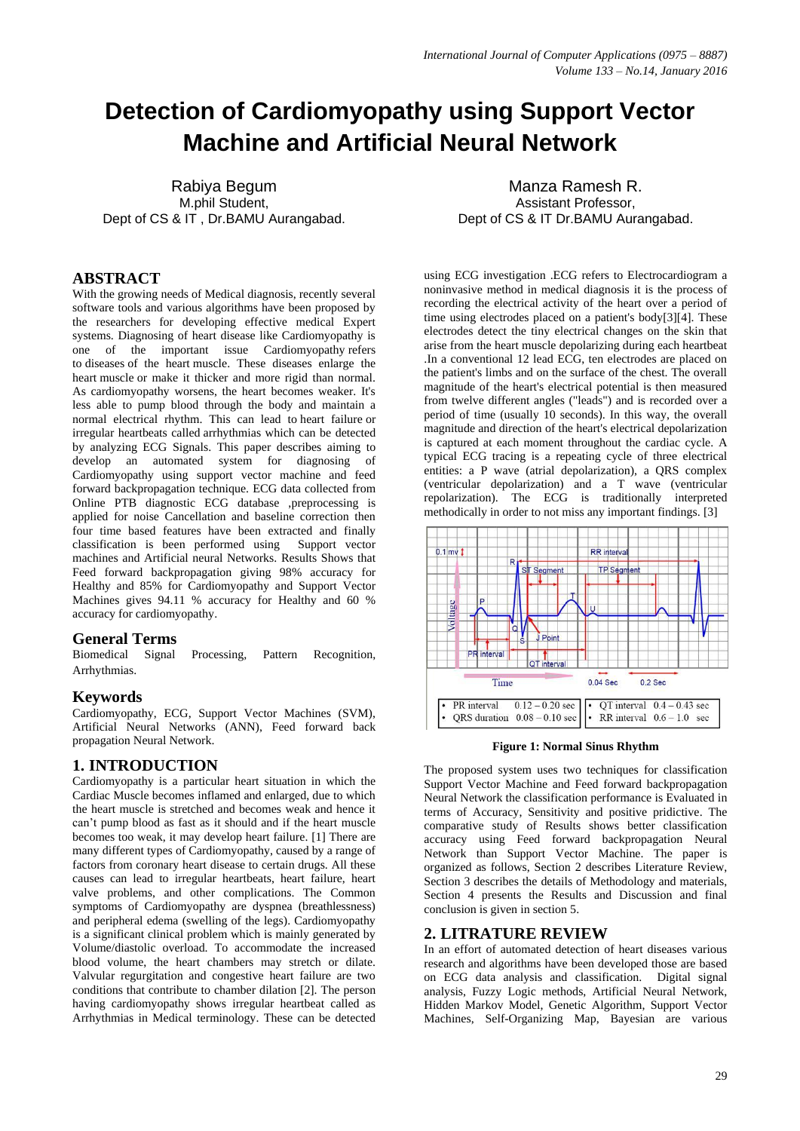# **Detection of Cardiomyopathy using Support Vector Machine and Artificial Neural Network**

Rabiya Begum M.phil Student, Dept of CS & IT , Dr.BAMU Aurangabad.

# **ABSTRACT**

With the growing needs of Medical diagnosis, recently several software tools and various algorithms have been proposed by the researchers for developing effective medical Expert systems. Diagnosing of heart disease like Cardiomyopathy is one of the important issue Cardiomyopathy refers to diseases of the heart muscle. These diseases enlarge the heart muscle or make it thicker and more rigid than normal. As cardiomyopathy worsens, the heart becomes weaker. It's less able to pump blood through the body and maintain a normal electrical rhythm. This can lead to [heart failure](http://www.heart.org/HEARTORG/Conditions/HeartFailure/AboutHeartFailure/About-Heart-Failure_UCM_002044_Article.jsp) or irregular heartbeats called [arrhythmias](http://www.heart.org/HEARTORG/Conditions/Arrhythmia/AboutArrhythmia/About-Arrhythmia_UCM_002010_Article.jsp) which can be detected by analyzing ECG Signals. This paper describes aiming to develop an automated system for diagnosing of Cardiomyopathy using support vector machine and feed forward backpropagation technique. ECG data collected from Online PTB diagnostic ECG database ,preprocessing is applied for noise Cancellation and baseline correction then four time based features have been extracted and finally classification is been performed using Support vector classification is been performed using machines and Artificial neural Networks. Results Shows that Feed forward backpropagation giving 98% accuracy for Healthy and 85% for Cardiomyopathy and Support Vector Machines gives 94.11 % accuracy for Healthy and 60 % accuracy for cardiomyopathy.

#### **General Terms**

Biomedical Signal Processing, Pattern Recognition, Arrhythmias.

## **Keywords**

Cardiomyopathy, ECG, Support Vector Machines (SVM), Artificial Neural Networks (ANN), Feed forward back propagation Neural Network.

# **1. INTRODUCTION**

Cardiomyopathy is a particular heart situation in which the Cardiac Muscle becomes inflamed and enlarged, due to which the heart muscle is stretched and becomes weak and hence it can't pump blood as fast as it should and if the heart muscle becomes too weak, it may develop heart failure. [1] There are many different types of Cardiomyopathy, caused by a range of factors from coronary heart disease to certain drugs. All these causes can lead to irregular heartbeats, heart failure, heart valve problems, and other complications. The Common symptoms of Cardiomyopathy are dyspnea (breathlessness) and peripheral edema (swelling of the legs). Cardiomyopathy is a significant clinical problem which is mainly generated by Volume/diastolic overload. To accommodate the increased blood volume, the heart chambers may stretch or dilate. Valvular regurgitation and congestive heart failure are two conditions that contribute to chamber dilation [2]. The person having cardiomyopathy shows irregular heartbeat called as Arrhythmias in Medical terminology. These can be detected

Manza Ramesh R. Assistant Professor, Dept of CS & IT Dr.BAMU Aurangabad.

using ECG investigation .ECG refers to Electrocardiogram a noninvasive method in medical diagnosis it is the process of recording the electrical activity of the heart over a period of time using electrodes placed on a patient's body[3][4]. These electrodes detect the tiny electrical changes on the skin that arise from the heart muscle depolarizing during each heartbeat .In a conventional 12 lead ECG, ten electrodes are placed on the patient's limbs and on the surface of the chest. The overall magnitude of the heart's electrical potential is then measured from twelve different angles ("leads") and is recorded over a period of time (usually 10 seconds). In this way, the overall magnitude and direction of the heart's electrical depolarization is captured at each moment throughout the cardiac cycle. A typical ECG tracing is a repeating cycle of three electrical entities: a P wave (atrial depolarization), a QRS complex (ventricular depolarization) and a T wave (ventricular repolarization). The ECG is traditionally interpreted methodically in order to not miss any important findings. [3]



**Figure 1: Normal Sinus Rhythm**

The proposed system uses two techniques for classification Support Vector Machine and Feed forward backpropagation Neural Network the classification performance is Evaluated in terms of Accuracy, Sensitivity and positive pridictive. The comparative study of Results shows better classification accuracy using Feed forward backpropagation Neural Network than Support Vector Machine. The paper is organized as follows, Section 2 describes Literature Review, Section 3 describes the details of Methodology and materials, Section 4 presents the Results and Discussion and final conclusion is given in section 5.

# **2. LITRATURE REVIEW**

In an effort of automated detection of heart diseases various research and algorithms have been developed those are based on ECG data analysis and classification. Digital signal analysis, Fuzzy Logic methods, Artificial Neural Network, Hidden Markov Model, Genetic Algorithm, Support Vector Machines, Self-Organizing Map, Bayesian are various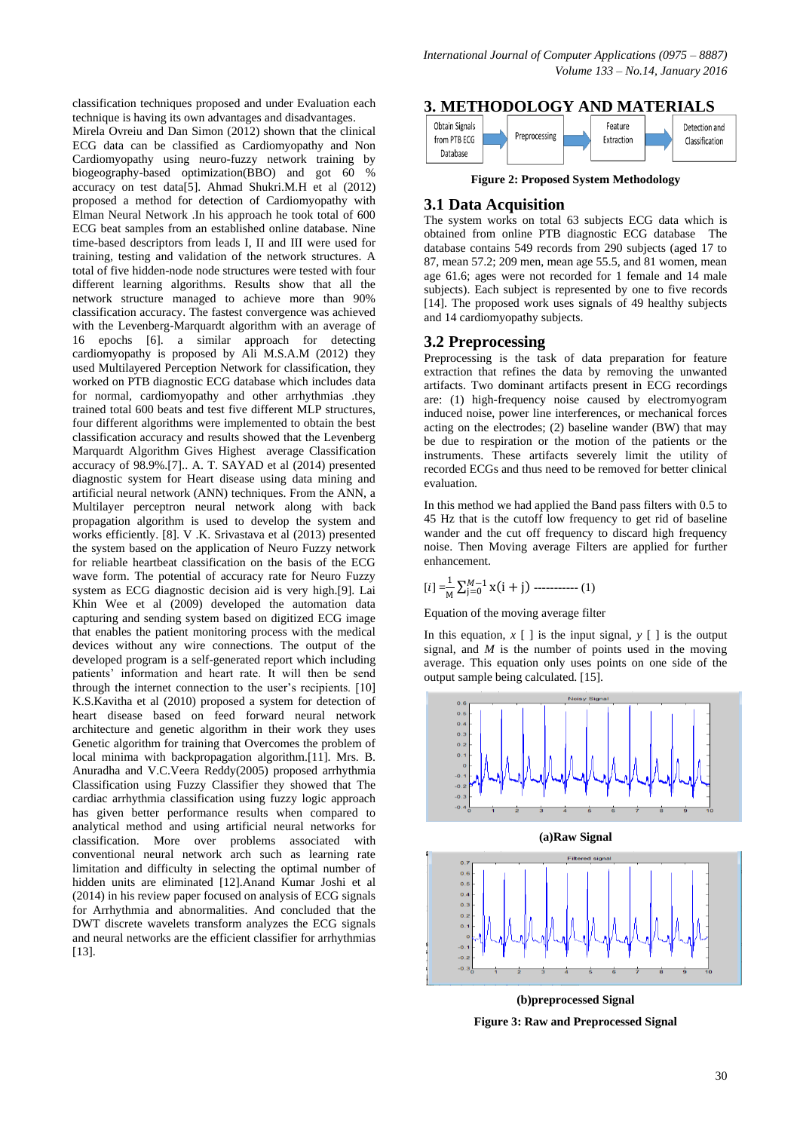classification techniques proposed and under Evaluation each technique is having its own advantages and disadvantages.

Mirela Ovreiu and Dan Simon (2012) shown that the clinical ECG data can be classified as Cardiomyopathy and Non Cardiomyopathy using neuro-fuzzy network training by biogeography-based optimization(BBO) and got 60 % accuracy on test data[5]. [Ahmad Shukri.M.H](http://ieeexplore.ieee.org/search/searchresult.jsp?searchWithin=p_Authors:.QT.Ahmad%20Shukri,%20M.H..QT.&searchWithin=p_Author_Ids:38469157900&newsearch=true) et al (2012) proposed a method for detection of Cardiomyopathy with Elman Neural Network .In his approach he took total of 600 ECG beat samples from an established online database. Nine time-based descriptors from leads I, II and III were used for training, testing and validation of the network structures. A total of five hidden-node node structures were tested with four different learning algorithms. Results show that all the network structure managed to achieve more than 90% classification accuracy. The fastest convergence was achieved with the Levenberg-Marquardt algorithm with an average of 16 epochs [6]. a similar approach for detecting cardiomyopathy is proposed by Ali M.S.A.M (2012) they used Multilayered Perception Network for classification, they worked on PTB diagnostic ECG database which includes data for normal, cardiomyopathy and other arrhythmias .they trained total 600 beats and test five different MLP structures, four different algorithms were implemented to obtain the best classification accuracy and results showed that the Levenberg Marquardt Algorithm Gives Highest average Classification accuracy of 98.9%.[7].. A. T. SAYAD et al (2014) presented diagnostic system for Heart disease using data mining and artificial neural network (ANN) techniques. From the ANN, a Multilayer perceptron neural network along with back propagation algorithm is used to develop the system and works efficiently. [8]. V .K. Srivastava et al (2013) presented the system based on the application of Neuro Fuzzy network for reliable heartbeat classification on the basis of the ECG wave form. The potential of accuracy rate for Neuro Fuzzy system as ECG diagnostic decision aid is very high.[9]. Lai Khin Wee et al (2009) developed the automation data capturing and sending system based on digitized ECG image that enables the patient monitoring process with the medical devices without any wire connections. The output of the developed program is a self-generated report which including patients' information and heart rate. It will then be send through the internet connection to the user's recipients. [10] K.S.Kavitha et al (2010) proposed a system for detection of heart disease based on feed forward neural network architecture and genetic algorithm in their work they uses Genetic algorithm for training that Overcomes the problem of local minima with backpropagation algorithm.[11]. Mrs. B. Anuradha and V.C.Veera Reddy(2005) proposed arrhythmia Classification using Fuzzy Classifier they showed that The cardiac arrhythmia classification using fuzzy logic approach has given better performance results when compared to analytical method and using artificial neural networks for classification. More over problems associated with conventional neural network arch such as learning rate limitation and difficulty in selecting the optimal number of hidden units are eliminated [12].Anand Kumar Joshi et al (2014) in his review paper focused on analysis of ECG signals for Arrhythmia and abnormalities. And concluded that the DWT discrete wavelets transform analyzes the ECG signals and neural networks are the efficient classifier for arrhythmias [13].

#### **3. METHODOLOGY AND MATERIALS**



**Figure 2: Proposed System Methodology**

## **3.1 Data Acquisition**

The system works on total 63 subjects ECG data which is obtained from online PTB diagnostic ECG database The database contains 549 records from 290 subjects (aged 17 to 87, mean 57.2; 209 men, mean age 55.5, and 81 women, mean age 61.6; ages were not recorded for 1 female and 14 male subjects). Each subject is represented by one to five records [14]. The proposed work uses signals of 49 healthy subjects and 14 cardiomyopathy subjects.

## **3.2 Preprocessing**

Preprocessing is the task of data preparation for feature extraction that refines the data by removing the unwanted artifacts. Two dominant artifacts present in ECG recordings are: (1) high-frequency noise caused by electromyogram induced noise, power line interferences, or mechanical forces acting on the electrodes; (2) baseline wander (BW) that may be due to respiration or the motion of the patients or the instruments. These artifacts severely limit the utility of recorded ECGs and thus need to be removed for better clinical evaluation.

In this method we had applied the Band pass filters with 0.5 to 45 Hz that is the cutoff low frequency to get rid of baseline wander and the cut off frequency to discard high frequency noise. Then Moving average Filters are applied for further enhancement.

$$
[i] = \frac{1}{M} \sum_{j=0}^{M-1} x(i+j) \cdots (1)
$$

Equation of the moving average filter

In this equation,  $x \mid$  is the input signal,  $y \mid$  is the output signal, and *M* is the number of points used in the moving average. This equation only uses points on one side of the output sample being calculated. [15].



**(b)preprocessed Signal Figure 3: Raw and Preprocessed Signal**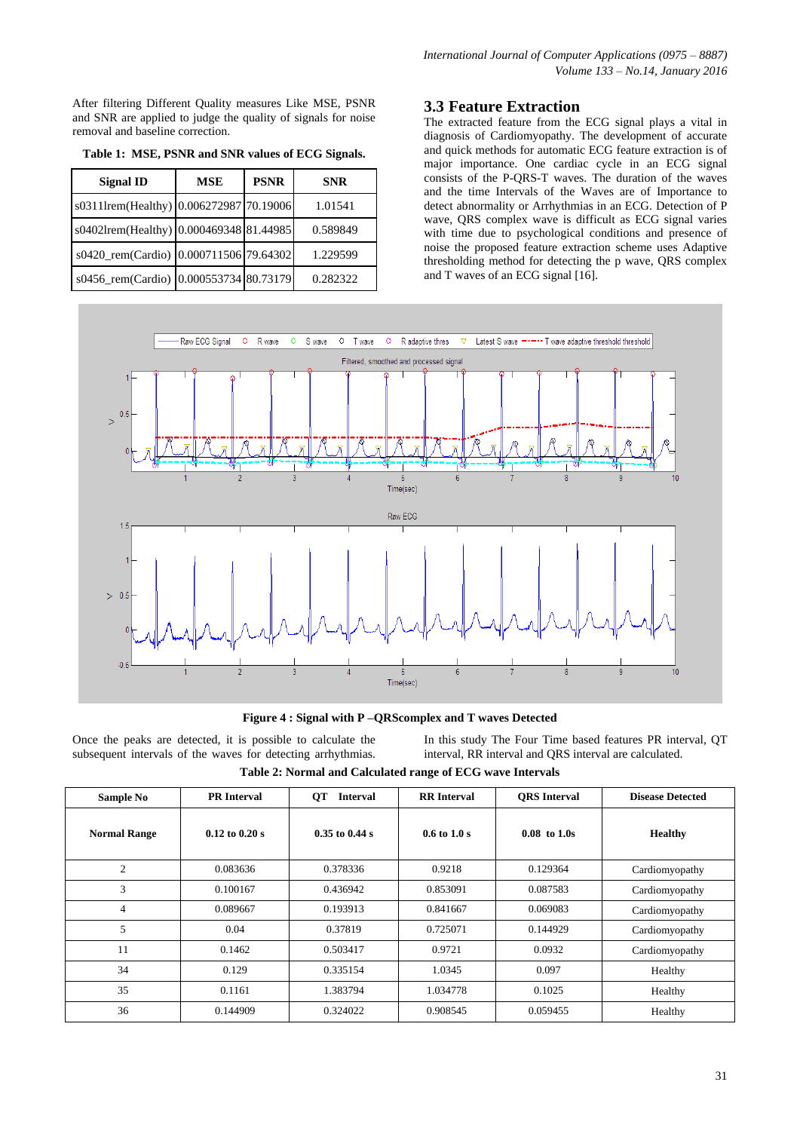After filtering Different Quality measures Like MSE, PSNR and SNR are applied to judge the quality of signals for noise removal and baseline correction.

| <b>Signal ID</b>                        | <b>MSE</b> | <b>PSNR</b> | <b>SNR</b> |  |
|-----------------------------------------|------------|-------------|------------|--|
| s0311lrem(Healthy) 0.006272987 70.19006 |            |             | 1.01541    |  |
| s0402Irem(Healthy) 0.000469348 81.44985 |            |             | 0.589849   |  |
| s0420_rem(Cardio) 0.000711506 79.64302  |            |             | 1.229599   |  |
| s0456_rem(Cardio) 0.000553734 80.73179  |            |             | 0.282322   |  |

**Table 1: MSE, PSNR and SNR values of ECG Signals.**

# **3.3 Feature Extraction**

The extracted feature from the ECG signal plays a vital in diagnosis of Cardiomyopathy. The development of accurate and quick methods for automatic ECG feature extraction is of major importance. One cardiac cycle in an ECG signal consists of the P-QRS-T waves. The duration of the waves and the time Intervals of the Waves are of Importance to detect abnormality or Arrhythmias in an ECG. Detection of P wave, QRS complex wave is difficult as ECG signal varies with time due to psychological conditions and presence of noise the proposed feature extraction scheme uses Adaptive thresholding method for detecting the p wave, QRS complex and T waves of an ECG signal [16].



**Figure 4 : Signal with P –QRScomplex and T waves Detected**

Once the peaks are detected, it is possible to calculate the subsequent intervals of the waves for detecting arrhythmias.

In this study The Four Time based features PR interval, QT interval, RR interval and QRS interval are calculated.

**Table 2: Normal and Calculated range of ECG wave Intervals**

| Sample No           | <b>PR</b> Interval | <b>QT</b><br><b>Interval</b> | <b>RR</b> Interval              | <b>ORS</b> Interval | <b>Disease Detected</b> |
|---------------------|--------------------|------------------------------|---------------------------------|---------------------|-------------------------|
| <b>Normal Range</b> | $0.12$ to $0.20$ s | $0.35$ to $0.44$ s           | $0.6 \text{ to } 1.0 \text{ s}$ | $0.08$ to $1.0s$    | Healthy                 |
| $\overline{2}$      | 0.083636           | 0.378336                     | 0.9218                          | 0.129364            | Cardiomyopathy          |
| 3                   | 0.100167           | 0.436942                     | 0.853091                        | 0.087583            | Cardiomyopathy          |
| $\overline{4}$      | 0.089667           | 0.193913                     | 0.841667                        | 0.069083            | Cardiomyopathy          |
| 5                   | 0.04               | 0.37819                      | 0.725071                        | 0.144929            | Cardiomyopathy          |
| 11                  | 0.1462             | 0.503417                     | 0.9721                          | 0.0932              | Cardiomyopathy          |
| 34                  | 0.129              | 0.335154                     | 1.0345                          | 0.097               | Healthy                 |
| 35                  | 0.1161             | 1.383794                     | 1.034778                        | 0.1025              | Healthy                 |
| 36                  | 0.144909           | 0.324022                     | 0.908545                        | 0.059455            | Healthy                 |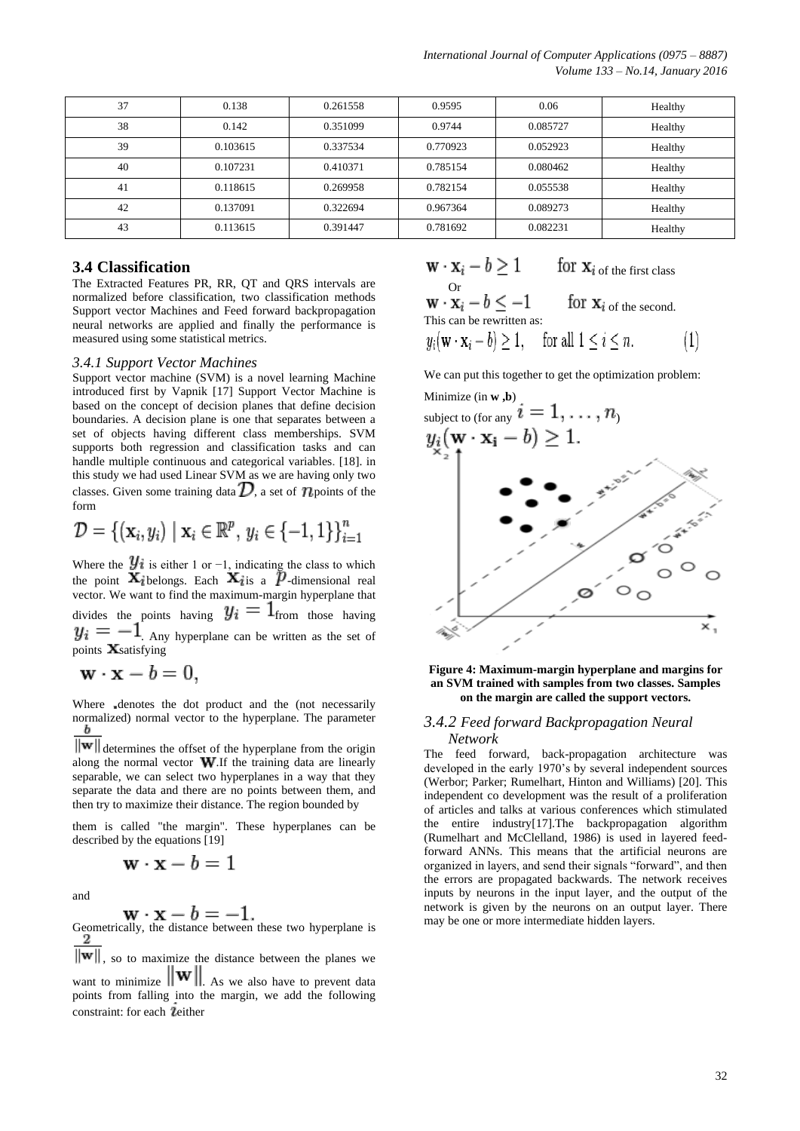| 37 | 0.138    | 0.261558 | 0.9595   | 0.06     | Healthy |
|----|----------|----------|----------|----------|---------|
| 38 | 0.142    | 0.351099 | 0.9744   | 0.085727 | Healthy |
| 39 | 0.103615 | 0.337534 | 0.770923 | 0.052923 | Healthy |
| 40 | 0.107231 | 0.410371 | 0.785154 | 0.080462 | Healthy |
| 41 | 0.118615 | 0.269958 | 0.782154 | 0.055538 | Healthy |
| 42 | 0.137091 | 0.322694 | 0.967364 | 0.089273 | Healthy |
| 43 | 0.113615 | 0.391447 | 0.781692 | 0.082231 | Healthy |

## **3.4 Classification**

The Extracted Features PR, RR, QT and QRS intervals are normalized before classification, two classification methods Support vector Machines and Feed forward backpropagation neural networks are applied and finally the performance is measured using some statistical metrics.

#### *3.4.1 Support Vector Machines*

Support vector machine (SVM) is a novel learning Machine introduced first by Vapnik [17] Support Vector Machine is based on the concept of decision planes that define decision boundaries. A decision plane is one that separates between a set of objects having different class memberships. SVM supports both regression and classification tasks and can handle multiple continuous and categorical variables. [18]. in this study we had used Linear SVM as we are having only two classes. Given some training data  $\mathcal{D}$ , a set of  $\mathcal{D}$  points of the form

$$
\mathcal{D} = \{ (\mathbf{x}_i, y_i) \mid \mathbf{x}_i \in \mathbb{R}^p, y_i \in \{-1, 1\} \}_{i=1}^n
$$

Where the  $\mathcal{Y}i$  is either 1 or −1, indicating the class to which the point  $\mathbf{A}_i$  belongs. Each  $\mathbf{A}_i$  is a  $\boldsymbol{\mu}$ -dimensional [real](https://en.wikipedia.org/wiki/Real_number) vector. We want to find the maximum-margin hyperplane that divides the points having  $y_i = 1$  from those having  $y_i = -1$ . Any hyperplane can be written as the set of points  $\mathbf{X}$ satisfying

$$
\mathbf{w} \cdot \mathbf{x} - b = 0,
$$

Where denotes the [dot product](https://en.wikipedia.org/wiki/Dot_product) and the (not necessarily normalized) [normal vector](https://en.wikipedia.org/wiki/Normal_%28geometry%29) to the hyperplane. The parameter

 $\overline{\|\mathbf{w}\|}$  determines the offset of the hyperplane from the origin along the normal vector  $\mathbf{W}$ . If the training data are linearly [separable,](https://en.wikipedia.org/wiki/Linearly_separable) we can select two hyperplanes in a way that they separate the data and there are no points between them, and then try to maximize their distance. The region bounded by

them is called "the margin". These hyperplanes can be described by the equations [19]

$$
\mathbf{w} \cdot \mathbf{x} - b = 1
$$

and

$$
\mathbf{w}\cdot\mathbf{x}-b=
$$

 $\mathbf{w} \cdot \mathbf{x} - b = -1$ .<br>Geometrically, the distance between these two hyperplane is

 $\|\mathbf{w}\|$ , so to maximize the distance between the planes we want to minimize  $\|\mathbf{w}\|$ . As we also have to prevent data points from falling into the margin, we add the following constraint: for each leither

$$
\mathbf{w} \cdot \mathbf{x}_i - b \ge 1 \qquad \text{for } \mathbf{x}_i \text{ of the first class}
$$
\n
$$
\mathbf{w} \cdot \mathbf{x}_i - b \le -1 \qquad \text{for } \mathbf{x}_i \text{ of the second.}
$$
\nThis can be rewritten as:\n
$$
y_i(\mathbf{w} \cdot \mathbf{x}_i - b) \ge 1, \quad \text{for all } 1 \le i \le n. \tag{1}
$$

We can put this together to get the optimization problem:



**Figure 4: Maximum-margin hyperplane and margins for an SVM trained with samples from two classes. Samples on the margin are called the support vectors.**

#### *3.4.2 Feed forward Backpropagation Neural Network*

The feed forward, back-propagation architecture was developed in the early 1970's by several independent sources (Werbor; Parker; Rumelhart, Hinton and Williams) [20]. This independent co development was the result of a proliferation of articles and talks at various conferences which stimulated the entire industry[17].The backpropagation algorithm (Rumelhart and McClelland, 1986) is used in layered feedforward ANNs. This means that the artificial neurons are organized in layers, and send their signals "forward", and then the errors are propagated backwards. The network receives inputs by neurons in the input layer, and the output of the network is given by the neurons on an output layer. There may be one or more intermediate hidden layers.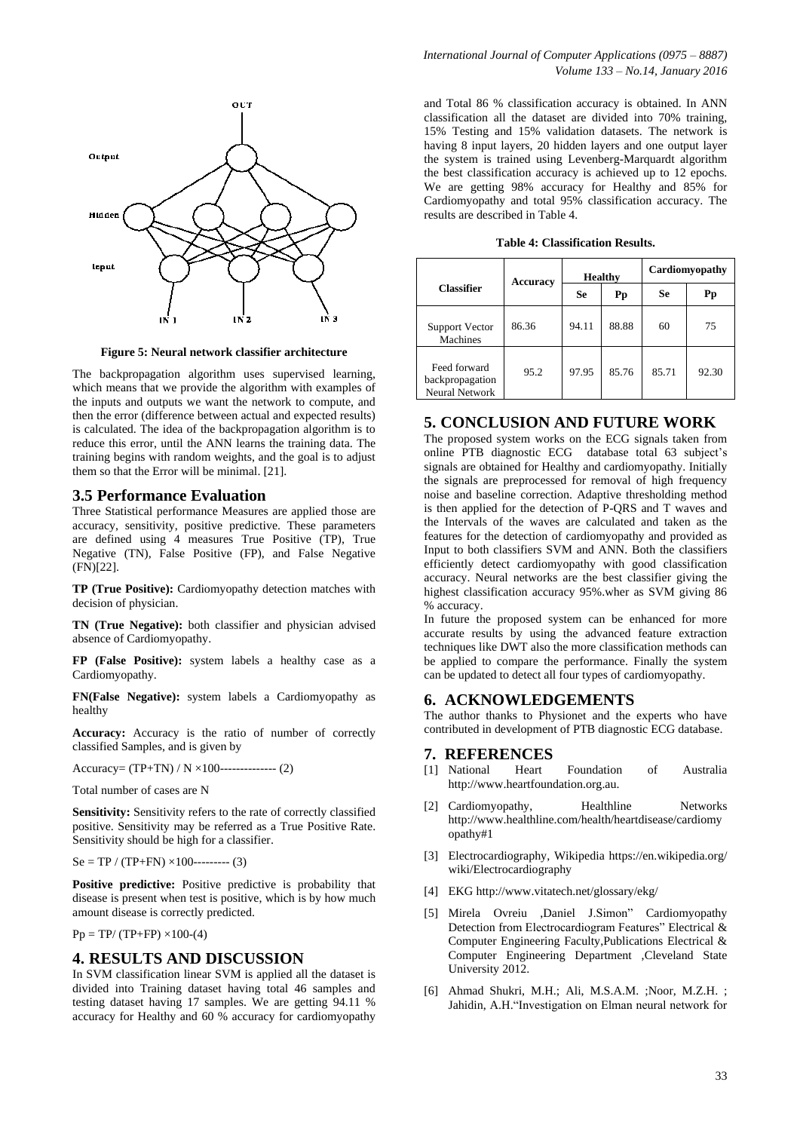

**Figure 5: Neural network classifier architecture**

The backpropagation algorithm uses supervised learning, which means that we provide the algorithm with examples of the inputs and outputs we want the network to compute, and then the error (difference between actual and expected results) is calculated. The idea of the backpropagation algorithm is to reduce this error, until the ANN learns the training data. The training begins with random weights, and the goal is to adjust them so that the Error will be minimal. [21].

#### **3.5 Performance Evaluation**

Three Statistical performance Measures are applied those are accuracy, sensitivity, positive predictive. These parameters are defined using 4 measures True Positive (TP), True Negative (TN), False Positive (FP), and False Negative (FN)[22].

**TP (True Positive):** Cardiomyopathy detection matches with decision of physician.

**TN (True Negative):** both classifier and physician advised absence of Cardiomyopathy.

**FP (False Positive):** system labels a healthy case as a Cardiomyopathy.

**FN(False Negative):** system labels a Cardiomyopathy as healthy

**Accuracy:** Accuracy is the ratio of number of correctly classified Samples, and is given by

Accuracy= (TP+TN) / N ×100-------------- (2)

Total number of cases are N

**Sensitivity:** Sensitivity refers to the rate of correctly classified positive. Sensitivity may be referred as a True Positive Rate. Sensitivity should be high for a classifier.

 $Se = TP / (TP+FN) \times 100$ --------- (3)

Positive predictive: Positive predictive is probability that disease is present when test is positive, which is by how much amount disease is correctly predicted.

 $Pp = TP/(TP+FP) \times 100-(4)$ 

## **4. RESULTS AND DISCUSSION**

In SVM classification linear SVM is applied all the dataset is divided into Training dataset having total 46 samples and testing dataset having 17 samples. We are getting 94.11 % accuracy for Healthy and 60 % accuracy for cardiomyopathy

and Total 86 % classification accuracy is obtained. In ANN classification all the dataset are divided into 70% training, 15% Testing and 15% validation datasets. The network is having 8 input layers, 20 hidden layers and one output layer the system is trained using Levenberg-Marquardt algorithm the best classification accuracy is achieved up to 12 epochs. We are getting 98% accuracy for Healthy and 85% for Cardiomyopathy and total 95% classification accuracy. The results are described in Table 4.

| <b>Table 4: Classification Results.</b> |
|-----------------------------------------|
|-----------------------------------------|

|                                                          | Accuracy | <b>Healthy</b> |       | Cardiomyopathy |       |
|----------------------------------------------------------|----------|----------------|-------|----------------|-------|
| <b>Classifier</b>                                        |          | <b>Se</b>      | Pp    | <b>Se</b>      | Pp    |
| <b>Support Vector</b><br>Machines                        | 86.36    | 94.11          | 88.88 | 60             | 75    |
| Feed forward<br>backpropagation<br><b>Neural Network</b> | 95.2     | 97.95          | 85.76 | 85.71          | 92.30 |

# **5. CONCLUSION AND FUTURE WORK**

The proposed system works on the ECG signals taken from online PTB diagnostic ECG database total 63 subject's signals are obtained for Healthy and cardiomyopathy. Initially the signals are preprocessed for removal of high frequency noise and baseline correction. Adaptive thresholding method is then applied for the detection of P-QRS and T waves and the Intervals of the waves are calculated and taken as the features for the detection of cardiomyopathy and provided as Input to both classifiers SVM and ANN. Both the classifiers efficiently detect cardiomyopathy with good classification accuracy. Neural networks are the best classifier giving the highest classification accuracy 95%.wher as SVM giving 86 % accuracy.

In future the proposed system can be enhanced for more accurate results by using the advanced feature extraction techniques like DWT also the more classification methods can be applied to compare the performance. Finally the system can be updated to detect all four types of cardiomyopathy.

# **6. ACKNOWLEDGEMENTS**

The author thanks to Physionet and the experts who have contributed in development of PTB diagnostic ECG database.

#### **7. REFERENCES**

- [1] National Heart Foundation of Australia http://www.heartfoundation.org.au.
- [2] Cardiomyopathy, Healthline Networks http://www.healthline.com/health/heartdisease/cardiomy opathy#1
- [3] Electrocardiography, Wikipedia https://en.wikipedia.org/ wiki/Electrocardiography
- [4] EKG http://www.vitatech.net/glossary/ekg/
- [5] Mirela Ovreiu ,Daniel J.Simon" Cardiomyopathy Detection from Electrocardiogram Features" Electrical & Computer Engineering Faculty,Publications Electrical & Computer Engineering Department ,Cleveland State University 2012.
- [6] [Ahmad Shukri, M.H.;](http://ieeexplore.ieee.org/search/searchresult.jsp?searchWithin=p_Authors:.QT.Ahmad%20Shukri,%20M.H..QT.&searchWithin=p_Author_Ids:38469157900&newsearch=true) [Ali, M.S.A.M.](http://ieeexplore.ieee.org/search/searchresult.jsp?searchWithin=p_Authors:.QT.Ali,%20M.S.A.M..QT.&searchWithin=p_Author_Ids:38469114600&newsearch=true) [;Noor, M.Z.H.](http://ieeexplore.ieee.org/search/searchresult.jsp?searchWithin=p_Authors:.QT.Noor,%20M.Z.H..QT.&searchWithin=p_Author_Ids:38244742900&newsearch=true) ; [Jahidin, A.H."](http://ieeexplore.ieee.org/search/searchresult.jsp?searchWithin=p_Authors:.QT.Jahidin,%20A.H..QT.&searchWithin=p_Author_Ids:37946047400&newsearch=true)Investigation on Elman neural network for